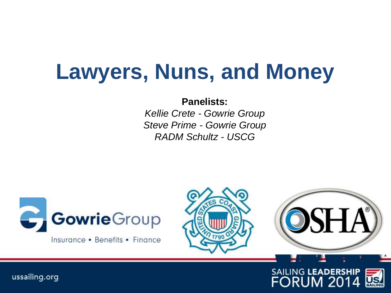### **Lawyers, Nuns, and Money**

**Panelists:**

*Kellie Crete - Gowrie Group Steve Prime - Gowrie Group RADM Schultz - USCG*



Insurance • Benefits • Finance





1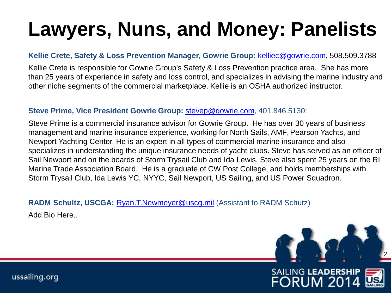### **Lawyers, Nuns, and Money: Panelists**

#### **Kellie Crete, Safety & Loss Prevention Manager, Gowrie Group:** [kelliec@gowrie.com,](mailto:kelliec@gowrie.com) 508.509.3788

Kellie Crete is responsible for Gowrie Group's Safety & Loss Prevention practice area. She has more than 25 years of experience in safety and loss control, and specializes in advising the marine industry and other niche segments of the commercial marketplace. Kellie is an OSHA authorized instructor.

#### **Steve Prime, Vice President Gowrie Group:** [stevep@gowrie.com,](mailto:stevep@gowrie.com) 401.846.5130:

Steve Prime is a commercial insurance advisor for Gowrie Group. He has over 30 years of business management and marine insurance experience, working for North Sails, AMF, Pearson Yachts, and Newport Yachting Center. He is an expert in all types of commercial marine insurance and also specializes in understanding the unique insurance needs of yacht clubs. Steve has served as an officer of Sail Newport and on the boards of Storm Trysail Club and Ida Lewis. Steve also spent 25 years on the RI Marine Trade Association Board. He is a graduate of CW Post College, and holds memberships with Storm Trysail Club, Ida Lewis YC, NYYC, Sail Newport, US Sailing, and US Power Squadron.

#### **RADM Schultz, USCGA: [Ryan.T.Newmeyer@uscg.mil](mailto:Ryan.T.Newmeyer@uscg.mil) (Assistant to RADM Schutz)**

Add Bio Here..

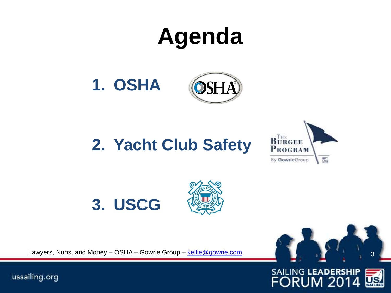### **Agenda**

**1. OSHA**



**2. Yacht Club Safety** 







Lawyers, Nuns, and Money - OSHA - Gowrie Group - [kellie@gowrie.com](mailto:kellie@gowrie.com)



**FORUM 2014** 

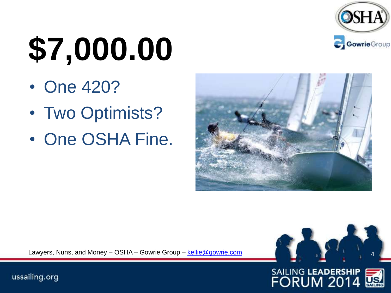

# **\$7,000.00**

- One 420?
- Two Optimists?
- One OSHA Fine.



Lawyers, Nuns, and Money – OSHA – Gowrie Group – [kellie@gowrie.com](mailto:kellie@gowrie.com)

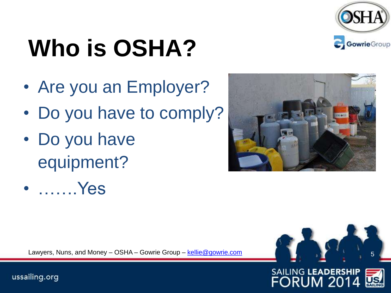

## **Who is OSHA?**

- Are you an Employer?
- Do you have to comply?
- Do you have equipment?
- …….Yes

Lawyers, Nuns, and Money - OSHA - Gowrie Group - [kellie@gowrie.com](mailto:kellie@gowrie.com)



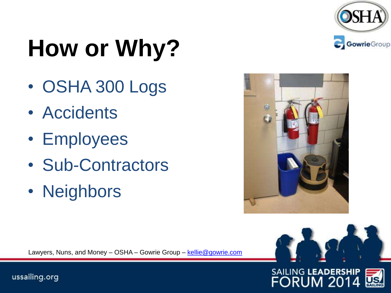

## **How or Why?**

- OSHA 300 Logs
- Accidents
- Employees
- Sub-Contractors
- Neighbors

Lawyers, Nuns, and Money – OSHA – Gowrie Group – [kellie@gowrie.com](mailto:kellie@gowrie.com)







SAILING LEADERSHIP

**FORUM 2014**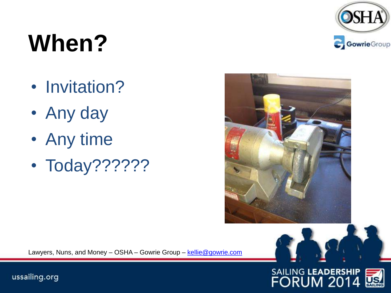

## **When?**

- Invitation?
- Any day
- Any time
- Today??????



Lawyers, Nuns, and Money – OSHA – Gowrie Group – [kellie@gowrie.com](mailto:kellie@gowrie.com)

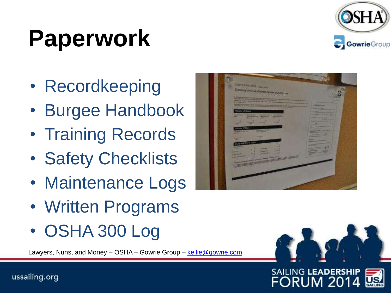## **Paperwork**



- Recordkeeping
- Burgee Handbook
- Training Records
- Safety Checklists
- Maintenance Logs
- Written Programs
- OSHA 300 Log

Lawyers, Nuns, and Money – OSHA – Gowrie Group – [kellie@gowrie.com](mailto:kellie@gowrie.com)





**FORUM 2014**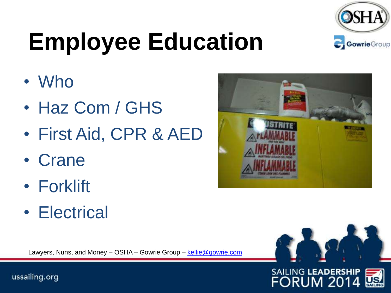

## **Employee Education**

- Who
- Haz Com / GHS
- First Aid, CPR & AED
- Crane
- Forklift
- Electrical

Lawyers, Nuns, and Money – OSHA – Gowrie Group – [kellie@gowrie.com](mailto:kellie@gowrie.com)



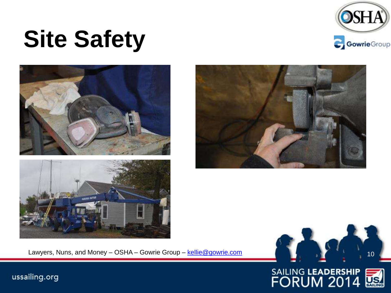

### **Site Safety**









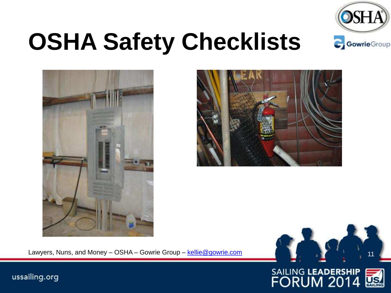

## **OSHA Safety Checklists**



ussailing.org



Lawyers, Nuns, and Money – OSHA – Gowrie Group – [kellie@gowrie.com](mailto:kellie@gowrie.com)

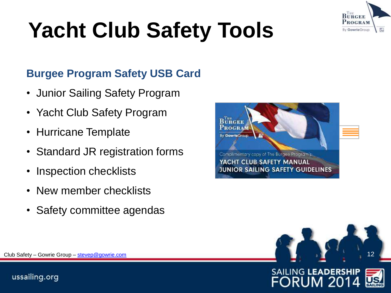

## **Yacht Club Safety Tools**

#### **Burgee Program Safety USB Card**

- Junior Sailing Safety Program
- Yacht Club Safety Program
- Hurricane Template
- Standard JR registration forms
- Inspection checklists
- New member checklists
- Safety committee agendas





Club Safety – Gowrie Group – [stevep@gowrie.com](mailto:stevep@gowrie.com)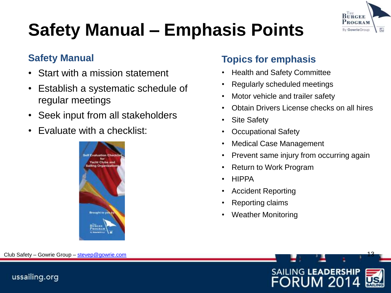

### **Safety Manual – Emphasis Points**

#### **Safety Manual**

- Start with a mission statement
- Establish a systematic schedule of regular meetings
- Seek input from all stakeholders
- Evaluate with a checklist:



#### **Topics for emphasis**

- Health and Safety Committee
- Regularly scheduled meetings
- Motor vehicle and trailer safety
- Obtain Drivers License checks on all hires
- Site Safety
- Occupational Safety
- Medical Case Management
- Prevent same injury from occurring again
- Return to Work Program
- HIPPA
- Accident Reporting
- Reporting claims
- Weather Monitoring





13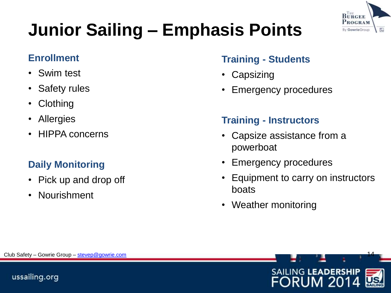

### **Junior Sailing – Emphasis Points**

#### **Enrollment**

- Swim test
- Safety rules
- Clothing
- Allergies
- HIPPA concerns

#### **Daily Monitoring**

- Pick up and drop off
- Nourishment

#### **Training - Students**

- Capsizing
- Emergency procedures

#### **Training - Instructors**

- Capsize assistance from a powerboat
- Emergency procedures
- Equipment to carry on instructors boats
- Weather monitoring





14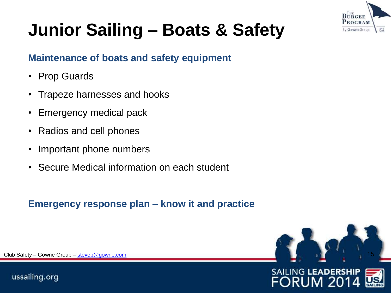

### **Junior Sailing – Boats & Safety**

#### **Maintenance of boats and safety equipment**

- Prop Guards
- Trapeze harnesses and hooks
- Emergency medical pack
- Radios and cell phones
- Important phone numbers
- Secure Medical information on each student

#### **Emergency response plan – know it and practice**



Club Safety – Gowrie Group – [stevep@gowrie.com](mailto:stevep@gowrie.com)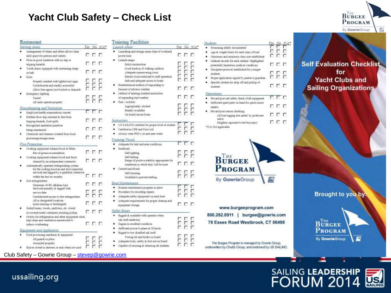#### **Yacht Club Safety – Check List**

Training Rapilitian

![](_page_15_Picture_1.jpeg)

| Restaurant                                                                                                                                  |   |     |             |
|---------------------------------------------------------------------------------------------------------------------------------------------|---|-----|-------------|
| rving Areas                                                                                                                                 |   |     | Ter No N/A* |
| Amanagement of chairs and tables allows clear                                                                                               |   |     |             |
| siale space for patrons and waiters.                                                                                                        |   | ггг |             |
| Floor in good condition with no slip or                                                                                                     |   |     |             |
| tripping hezerds                                                                                                                            |   | ггг |             |
| Youth chairs equipped with restraining straps.                                                                                              |   | r   |             |
| or helt                                                                                                                                     |   |     |             |
| <b>Exit:</b>                                                                                                                                |   |     |             |
| Properly marked with lighted coit signs                                                                                                     |   |     |             |
| Unobstracted and readily accessible                                                                                                         |   |     |             |
| Allow free egress (not locked or chained)                                                                                                   |   |     |             |
| Emergency lighting                                                                                                                          |   |     |             |
| Tested                                                                                                                                      |   |     |             |
| All units operate properly.                                                                                                                 |   |     |             |
| Housekeeping and Sanitation                                                                                                                 |   |     | r           |
| Employee health examinations current                                                                                                        |   |     |             |
| Kitches floor slip-resistant & free from                                                                                                    |   |     |             |
| tripping hazards, food spills.                                                                                                              |   | n   |             |
| Recognized sanitation practices                                                                                                             |   |     |             |
| being maintained.                                                                                                                           |   | гг  | п           |
| Chemicals and cleaners isolated from food                                                                                                   |   |     | г           |
| processing/zhrage sessa                                                                                                                     |   | пπ  |             |
| Fire Protection                                                                                                                             |   |     |             |
| Cooking equipment exhaust hood & filters                                                                                                    |   |     |             |
| free of presse accumulation.                                                                                                                |   | г п |             |
| Cooking, equipment exhaust hood and ducts                                                                                                   |   |     |             |
| cleaned by an independent contractor.                                                                                                       | г | п   | л           |
| Automatically operated extinguishing system<br>for the cooking hood as and duct inspected.<br>serviced and tagged by a qualified contractor |   |     |             |
| within the last six months.                                                                                                                 | ľ | г   |             |
| Fire exhaguishers:                                                                                                                          |   |     |             |
| Minimum 40 BC alkaline type                                                                                                                 |   | EЕ  |             |
| Serviced smusily & tapped with.                                                                                                             |   |     |             |
| service date                                                                                                                                |   |     |             |
| Unobstructed access to fire extinguishers                                                                                                   |   |     |             |
| All in designated locations<br>(none missing or discharged)                                                                                 |   | r   |             |
| Soiled lineus, towels, uniforms, etc. stored.                                                                                               |   |     |             |
| in covered metal containers awaiting pickup                                                                                                 |   | гг  |             |
| Motors for refrigeration and other equipment oiled,<br>lopt clean and veriblation unrestricted to                                           |   |     |             |
| pediate of exception                                                                                                                        |   | ггг |             |
| <b><i>Equipment and Applicances</i></b>                                                                                                     |   |     |             |
| Food processing machines & equipment                                                                                                        |   |     |             |
| All guards in place.                                                                                                                        |   |     |             |
| Grounded properly                                                                                                                           |   |     |             |
| Knives stored in deswers or rack when not used                                                                                              |   |     |             |

Club Safety – Gowrie Group – [stevep@gowrie.com](mailto:stevep@gowrie.com)

| Launch Areas:                                                  | Yes |    | No N/A |
|----------------------------------------------------------------|-----|----|--------|
| · Launching and storage areas clear of overhead                |     |    |        |
| power lines                                                    |     | гι |        |
| · Launch ramps                                                 |     |    |        |
| Solid construction                                             |     |    |        |
| Good traction of walking surfaces<br>Adequate maneuvering room |     |    |        |
| Electric hoist restricted to staff operation                   |     |    |        |
| Safe and adequate access to boats                              |     |    |        |
| Predetermined method of responding to                          |     |    |        |
| forecast of adverse weather                                    |     |    |        |
| Method of alerting students/instructors                        |     |    |        |
| of impending bad weether.                                      |     |    |        |
| First -Aid kits                                                |     |    |        |
| Appropriately stocked                                          |     |    |        |
| Readily available                                              |     |    |        |
| On board rescue bosts                                          |     |    |        |
| <b>batructors</b>                                              |     |    |        |
| US SAILING certified for proper level of student               |     |    |        |
| Certified in CPR and First Aid.                                | п   |    |        |
| Always wear PFD's on and near water                            |     |    |        |
| Training Versel                                                |     |    |        |
| A dequate for task and area conditions                         |     |    |        |
| Keelboats:                                                     |     |    |        |
| Self-righting                                                  |     |    |        |
| Salf-bading<br>Range of positive stability appropriate for     |     |    |        |
| conditions in which they will be used                          |     |    |        |
| Centerboard Boats                                              |     |    |        |
| Self-resoung                                                   |     |    |        |
| Modified to prevent turtling                                   | г.  |    |        |
| Boat Mannenance                                                |     |    |        |
| Routine maintenance program in place                           |     |    |        |
| Procedure for recording repairs                                |     |    |        |
| · Adequate safety equipment on each boat                       |     |    |        |
| Adequate requirements for proper cleanup and<br>. .            |     |    |        |
| equipment storage                                              |     |    |        |
| Safery Boats                                                   |     |    |        |
| Rigged & available with operator when                          |     |    |        |
| sail craft underway                                            |     |    |        |
| Engane in excellent condition                                  |     |    |        |
| Sufficient power to plane at 20 knots                          |     |    |        |
| Rigged to tow disabled sail craft                              |     |    |        |
| Towing bit and bridle on board                                 |     |    |        |
| Adequate tools, safety & first aid on board                    |     |    |        |
| Capable of rescuing & returning all students                   |     |    |        |

| Students                                                                                                                |       | Yes No N/A' |
|-------------------------------------------------------------------------------------------------------------------------|-------|-------------|
| Swimming ability documented<br>Age & weight limits for each class of boat<br>Maximum and minimum class size established |       |             |
| hiedical records for each student Highlighted<br>potentially hazardous medical conditions                               | ппп   |             |
| Discipline protocol established for younger<br>students<br>Proper application signed by parent or guardian              | 8 F F |             |
| Specific criteria for drop-off and pickup of<br>students.                                                               | ппп   |             |
| perations.                                                                                                              |       |             |
| Pre and post sail nafety check of all equipment                                                                         | חחח   |             |
| Sufficient space parts on hend for quick nunce<br><b>FREMERS</b>                                                        | 6 G G |             |
| Pre and post season checking:<br>All boat ripping test sailed by proficient<br>zailor                                   | 0 O O |             |
| Dinglass copsized to test buoyancy                                                                                      | ппп   |             |
| A Not applicable                                                                                                        |       |             |
|                                                                                                                         |       |             |

![](_page_15_Picture_5.jpeg)

www.burgeeprogram.com 800.262.8911 | burgee@gowrie.com 70 Essex Road Westbrook, CT 06498

The Burgee Program is managed by Gowrie Group, underwritten by Chubb Group, and endorsed by US SAILING.

#### **Self Evaluation Checklist** for **Yacht Clubs and Sailing Organizations**

**Brought to you by** 

![](_page_15_Picture_10.jpeg)

16

#### SAILING LEADERSHIP<br>FORUM 2014 **US**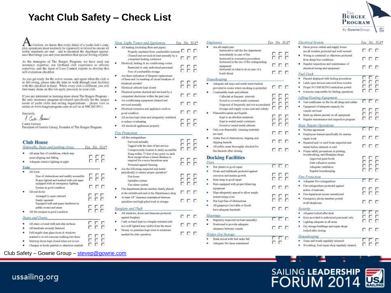#### **Yacht Club Safety – Check List**

![](_page_16_Picture_1.jpeg)

As the managers of The Burgee Program, we have used our insurance expertise, our firsthand club experience as officers ourselves, and the input of Loss Control experts to develop this self-evaluation checklist.

As you get ready for the active season, and again when the club is in full-swing, please take the time to walk through your facilities with this checklist in-hand. While every club is different, you will find many items on this list apply precisely to your club.

If you are interested in learning more about The Burgee Programthe only insurance program developed specifically for the unique needs of yacht clubs and sailing organizations - please visit us online at www.hurgeeprogram.com or call us at 800.262.8911.

Sincerely, Caster German

Carter Gowrie President of Gowrie Group, Founder of The Burgee Program

| <b>Club House</b> |  |  |
|-------------------|--|--|
|                   |  |  |

ussailing.org

| Sidewalks, Steps and parking Areas                                                                                                                                                                                                                                                                                                                  | Yes No. NiA* |
|-----------------------------------------------------------------------------------------------------------------------------------------------------------------------------------------------------------------------------------------------------------------------------------------------------------------------------------------------------|--------------|
| All areas free of conditions, which may<br>cause shipping and falling<br>A dequate exterior lighting at night                                                                                                                                                                                                                                       |              |
| <b>Sits</b>                                                                                                                                                                                                                                                                                                                                         |              |
| All Exite:<br>Free of obstructions and readily accessible<br>Proper lighted and marked with coil signs<br>equipped with an emergency lighting<br>System in good condition<br>All uxit doene<br>Arranged to open convard-<br>Easily operated<br>Equipped with anti-panic hanheare in<br>public rooms and areas<br>All fire escapes in good condition | <b>BRITE</b> |
| Stairs and Doors                                                                                                                                                                                                                                                                                                                                    |              |
| All stairs covered with anti-slip surfaces<br>All handrails securely fastened                                                                                                                                                                                                                                                                       |              |
| Full-length clear glass doors & windows<br>marked to graved approvementalized into those                                                                                                                                                                                                                                                            |              |

|   | marked to avoid someone walking into them  |  |
|---|--------------------------------------------|--|
| ۰ | Stairway doors kept closed when not in use |  |

**DDD** · Changes in levels painted or otherwise marked

| Heat, Light, Power and Appliances<br>All loating (including flacs and pipes):                                              |       | Yax No N/A* |
|----------------------------------------------------------------------------------------------------------------------------|-------|-------------|
| Properly insulated from combustible material.                                                                              |       |             |
| Cleaned and serviced at least annually by a<br>competent heating contractor.                                               | תה    |             |
| Electrical, heating & air conditioning rooms:                                                                              |       |             |
| Restricted to only authorized personnel.<br>Pree of combustible storage                                                    |       |             |
| Are there indication of frequent replacement."<br>of force and Arr resulting of circuit briefcare of                       |       |             |
| electrical circuite?                                                                                                       | F F F |             |
| Electrical catinets kept closed                                                                                            |       |             |
| Electrical system checked and neviced by a<br>competent electrician within the past year.                                  | 0 D D |             |
| Air conditioning equipment cleaned and<br>serviced annually                                                                | пгп   |             |
| Electrical extension and appliatice cords in<br>good condition                                                             | ггг   |             |
| All motors kept clean and adequately ventilated<br>to reduce overheating                                                   | FFF   |             |
| All electrical appliances properly                                                                                         |       |             |
| Fire Protection                                                                                                            |       |             |
| All fire extinguishers                                                                                                     |       |             |
| Serviced annually                                                                                                          | $+1$  |             |
| Tagged with the date of last service                                                                                       |       |             |
| Conspicuously located & emily accessible                                                                                   |       |             |
| Hung within 75 feet of any point on each<br>floor except where a lesser distance is:<br>required for a more hecardose area |       |             |
| Beautiful access Francisco                                                                                                 |       |             |

| floor except where a lesser distance is:<br>required for a more hecephoes area |  |
|--------------------------------------------------------------------------------|--|
| Protected against frequent                                                     |  |
| Are the following inspected and tested                                         |  |
| petiodically to ensure proper operation?                                       |  |
| Fire koses                                                                     |  |
| Sprinkler system                                                               |  |

л

Ē

п п

**FFF** 

| Sprinkler system                                |  |
|-------------------------------------------------|--|
| Fire slams system                               |  |
| Fire department phone number clearly phased     |  |
| at the switchboard and in the Maintenance shop. |  |
| At least 18" clearance maintained between       |  |

| sprinklers and high piled stock in storage | $\Gamma$ $\Gamma$ $\Gamma$ |  |
|--------------------------------------------|----------------------------|--|
|                                            |                            |  |

#### Burglary and Theft

13 D

- · All windows, doors and transoms protected **DDD** against burglary Cash on hand kept in a burghe-resistant safe.  $000$
- in a well lighted area visible from the street ٠ Money on premises kept close to minimum needed fix club operation.

|       | Employees                                                                         | res No N/A* |     |    |
|-------|-----------------------------------------------------------------------------------|-------------|-----|----|
|       | Are all employees                                                                 |             |     |    |
|       | lastmeted to call the fire department.                                            |             |     |    |
|       | immediately in case of fire                                                       |             |     |    |
|       | lastnicted in evacuation procedures<br>lastmeted in the use of fire extinguishing |             |     |    |
|       | equipment                                                                         |             |     |    |
|       | lastmeted on what to do in case of a                                              |             |     |    |
|       | bomb threat                                                                       |             | г п |    |
|       | Housekeeping                                                                      |             |     |    |
|       | Adequate sub trays and metal waste baskets                                        |             |     |    |
|       | provided in rooms where smoking is permitted                                      | г.          | п.  |    |
|       | Combustible trade and rabbish-                                                    |             |     |    |
|       | Collected at frequent intervals                                                   |             |     |    |
|       | Stored in covered metal containers                                                |             |     |    |
|       | Disposed of frequently and not accumulated                                        |             |     |    |
|       | Storage and supply rooms next and orderly                                         |             |     |    |
|       | Flammable paints and liquids:                                                     |             |     |    |
|       | Kept to an absolute minimum                                                       |             |     |    |
|       | Kept in sealed metal containers                                                   |             |     |    |
|       | Stored in vented matal colunes                                                    |             |     |    |
|       | Osly non-flammable cleaning materials.                                            |             |     |    |
|       | tre total                                                                         |             | I   |    |
|       | Aisles free of obstructions, tripping and                                         |             |     |    |
|       | stipping bazarda                                                                  |             |     | гл |
|       | All public areas thoroughly checked for                                           |             |     |    |
|       | fire hazards after closing                                                        |             | п   | п  |
|       | <b>Docking Facilities</b>                                                         |             |     |    |
| Pleta |                                                                                   |             |     |    |
|       | Por planks in good repair                                                         | г           |     | гг |
| ٠     | Floats and bulkheads protected against                                            |             |     |    |
|       | correstion and matine growth.                                                     |             |     |    |
|       | Boat namp in good repair                                                          |             |     |    |
|       | Piers equipped with proper lifesaving                                             |             |     |    |
|       | equipment                                                                         |             |     | г  |
|       | Slips adequately spaced to allow ample-                                           |             |     |    |
|       | nanesvering room                                                                  |             |     |    |
|       | Por kept free of obstractions                                                     |             |     |    |
|       | All gaugways (movable or fixed)                                                   |             |     |    |
|       | have adequate bandratis                                                           |             | I   |    |
|       |                                                                                   |             |     |    |
|       | <b>MOGETINGS</b><br>Regularly inspected (at least annually)                       |             | ппп |    |
|       |                                                                                   |             |     |    |
|       | Pontiated to provide adequate<br>clearance between vessels                        | г÷.         | n   |    |
|       |                                                                                   |             |     |    |
|       | Winter Dry Storage                                                                |             |     |    |
|       | Boats stored with faul tanks full                                                 |             |     | п  |
|       | Advertisery Rep Jessen institutoised."                                            |             |     |    |

![](_page_16_Picture_19.jpeg)

<sub>17</sub>

Club Safety – Gowrie Group – [stevep@gowrie.com](mailto:stevep@gowrie.com)

![](_page_16_Picture_21.jpeg)

![](_page_16_Picture_22.jpeg)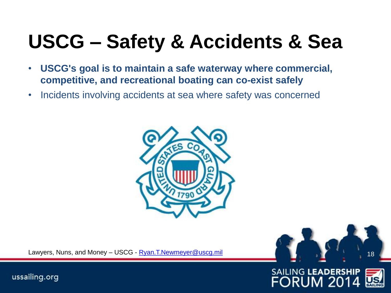### **USCG – Safety & Accidents & Sea**

- **USCG's goal is to maintain a safe waterway where commercial, competitive, and recreational boating can co-exist safely**
- Incidents involving accidents at sea where safety was concerned

![](_page_17_Picture_3.jpeg)

Lawyers, Nuns, and Money – USCG - [Ryan.T.Newmeyer@uscg.mil](mailto:Ryan.T.Newmeyer@uscg.mil)

![](_page_17_Picture_5.jpeg)